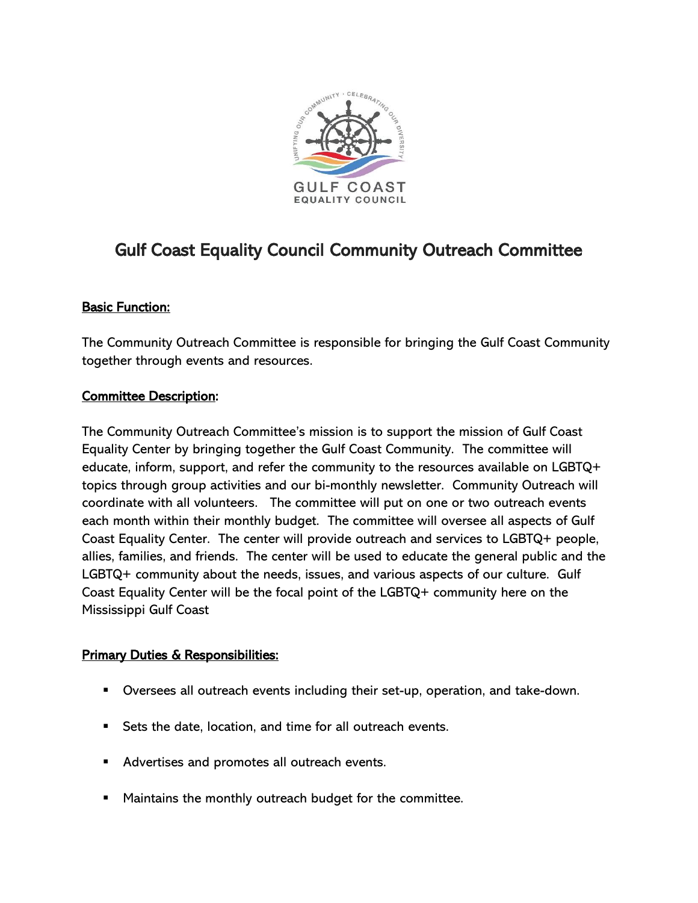

# Gulf Coast Equality Council Community Outreach Committee

## Basic Function:

The Community Outreach Committee is responsible for bringing the Gulf Coast Community together through events and resources.

### Committee Description:

The Community Outreach Committee's mission is to support the mission of Gulf Coast Equality Center by bringing together the Gulf Coast Community. The committee will educate, inform, support, and refer the community to the resources available on LGBTQ+ topics through group activities and our bi-monthly newsletter. Community Outreach will coordinate with all volunteers. The committee will put on one or two outreach events each month within their monthly budget. The committee will oversee all aspects of Gulf Coast Equality Center. The center will provide outreach and services to LGBTQ+ people, allies, families, and friends. The center will be used to educate the general public and the LGBTQ+ community about the needs, issues, and various aspects of our culture. Gulf Coast Equality Center will be the focal point of the LGBTQ+ community here on the Mississippi Gulf Coast

### **Primary Duties & Responsibilities:**

- Oversees all outreach events including their set-up, operation, and take-down.
- Sets the date, location, and time for all outreach events.
- Advertises and promotes all outreach events.
- Maintains the monthly outreach budget for the committee.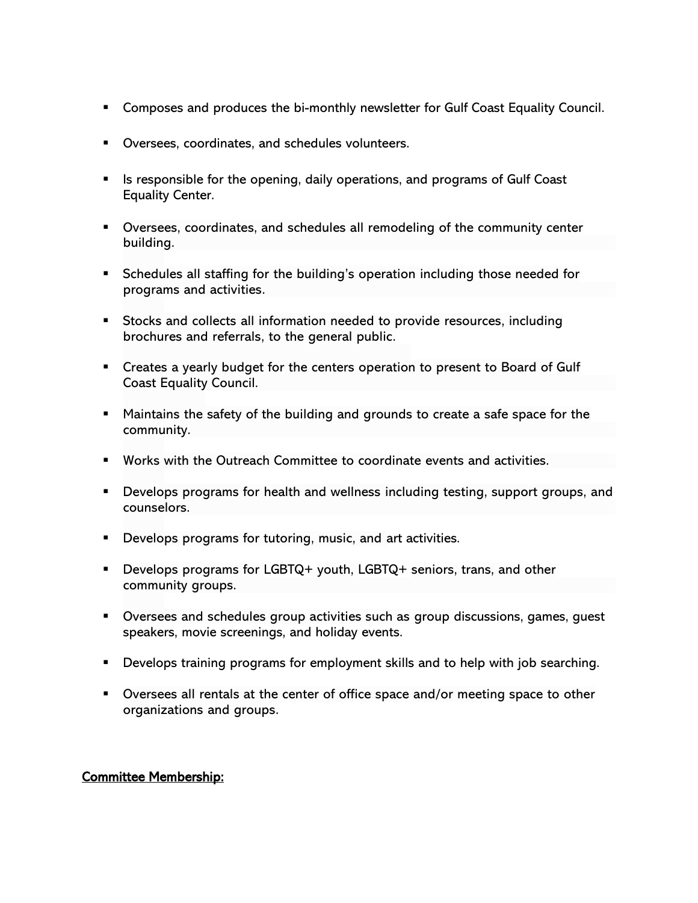- Composes and produces the bi-monthly newsletter for Gulf Coast Equality Council.
- Oversees, coordinates, and schedules volunteers.
- Is responsible for the opening, daily operations, and programs of Gulf Coast Equality Center.
- Oversees, coordinates, and schedules all remodeling of the community center building.
- **EXEDENT Schedules all staffing for the building's operation including those needed for** programs and activities.
- Stocks and collects all information needed to provide resources, including brochures and referrals, to the general public.
- Creates a yearly budget for the centers operation to present to Board of Gulf Coast Equality Council.
- Maintains the safety of the building and grounds to create a safe space for the community.
- Works with the Outreach Committee to coordinate events and activities.
- Develops programs for health and wellness including testing, support groups, and counselors.
- Develops programs for tutoring, music, and art activities.
- Develops programs for LGBTQ+ youth, LGBTQ+ seniors, trans, and other community groups.
- Oversees and schedules group activities such as group discussions, games, guest speakers, movie screenings, and holiday events.
- **•** Develops training programs for employment skills and to help with job searching.
- Oversees all rentals at the center of office space and/or meeting space to other organizations and groups.

### Committee Membership: